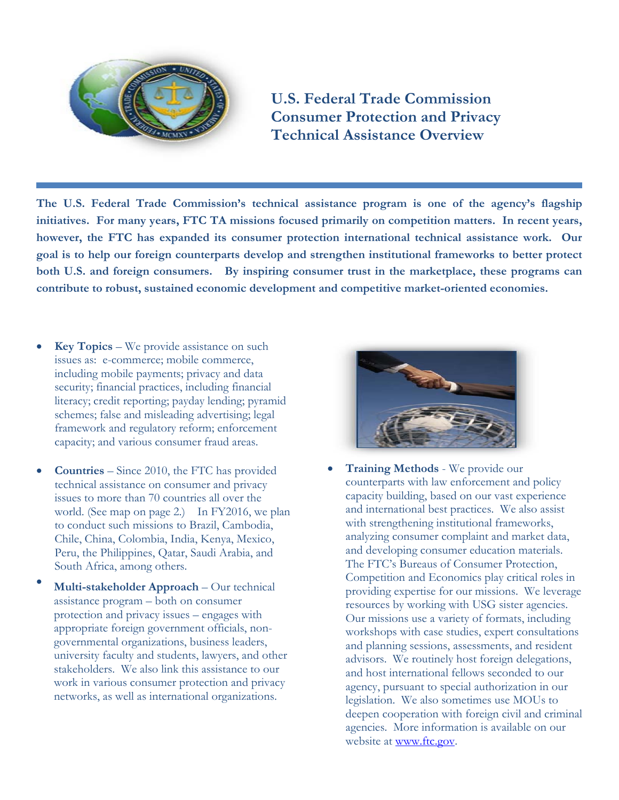

**U.S. Federal Trade Commission Consumer Protection and Privacy Technical Assistance Overview** 

**The U.S. Federal Trade Commission's technical assistance program is one of the agency's flagship initiatives. For many years, FTC TA missions focused primarily on competition matters. In recent years, however, the FTC has expanded its consumer protection international technical assistance work. Our goal is to help our foreign counterparts develop and strengthen institutional frameworks to better protect both U.S. and foreign consumers. By inspiring consumer trust in the marketplace, these programs can contribute to robust, sustained economic development and competitive market-oriented economies.** 

- **Key Topics** We provide assistance on such issues as: e-commerce; mobile commerce, including mobile payments; privacy and data security; financial practices, including financial literacy; credit reporting; payday lending; pyramid schemes; false and misleading advertising; legal framework and regulatory reform; enforcement capacity; and various consumer fraud areas.
- **Countries** Since 2010, the FTC has provided technical assistance on consumer and privacy issues to more than 70 countries all over the world. (See map on page 2.) In FY2016, we plan to conduct such missions to Brazil, Cambodia, Chile, China, Colombia, India, Kenya, Mexico, Peru, the Philippines, Qatar, Saudi Arabia, and South Africa, among others.
- **Multi-stakeholder Approach** Our technical assistance program – both on consumer protection and privacy issues – engages with appropriate foreign government officials, nongovernmental organizations, business leaders, university faculty and students, lawyers, and other stakeholders. We also link this assistance to our work in various consumer protection and privacy networks, as well as international organizations.



• **Training Methods** - We provide our counterparts with law enforcement and policy capacity building, based on our vast experience and international best practices. We also assist with strengthening institutional frameworks, analyzing consumer complaint and market data, and developing consumer education materials. The FTC's Bureaus of Consumer Protection, Competition and Economics play critical roles in providing expertise for our missions. We leverage resources by working with USG sister agencies. Our missions use a variety of formats, including workshops with case studies, expert consultations and planning sessions, assessments, and resident advisors. We routinely host foreign delegations, and host international fellows seconded to our agency, pursuant to special authorization in our legislation. We also sometimes use MOUs to deepen cooperation with foreign civil and criminal agencies. More information is available on our website at [www.ftc.gov.](http://www.ftc.gov/)